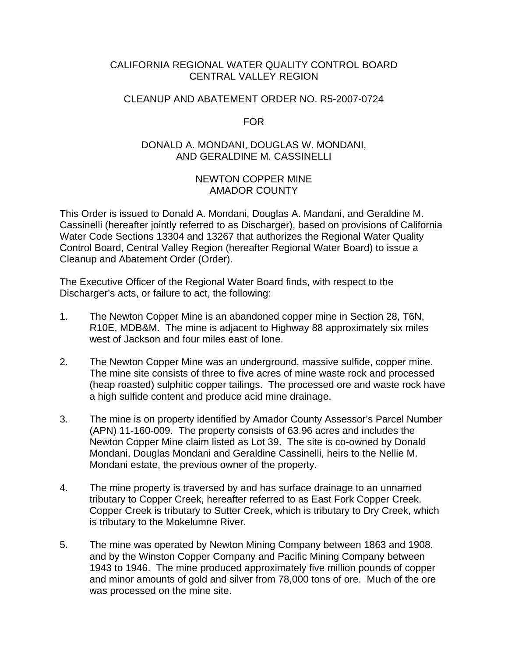# CALIFORNIA REGIONAL WATER QUALITY CONTROL BOARD CENTRAL VALLEY REGION

# CLEANUP AND ABATEMENT ORDER NO. R5-2007-0724

FOR

# DONALD A. MONDANI, DOUGLAS W. MONDANI, AND GERALDINE M. CASSINELLI

# NEWTON COPPER MINE AMADOR COUNTY

This Order is issued to Donald A. Mondani, Douglas A. Mandani, and Geraldine M. Cassinelli (hereafter jointly referred to as Discharger), based on provisions of California Water Code Sections 13304 and 13267 that authorizes the Regional Water Quality Control Board, Central Valley Region (hereafter Regional Water Board) to issue a Cleanup and Abatement Order (Order).

The Executive Officer of the Regional Water Board finds, with respect to the Discharger's acts, or failure to act, the following:

- 1. The Newton Copper Mine is an abandoned copper mine in Section 28, T6N, R10E, MDB&M. The mine is adjacent to Highway 88 approximately six miles west of Jackson and four miles east of Ione.
- 2. The Newton Copper Mine was an underground, massive sulfide, copper mine. The mine site consists of three to five acres of mine waste rock and processed (heap roasted) sulphitic copper tailings. The processed ore and waste rock have a high sulfide content and produce acid mine drainage.
- 3. The mine is on property identified by Amador County Assessor's Parcel Number (APN) 11-160-009. The property consists of 63.96 acres and includes the Newton Copper Mine claim listed as Lot 39. The site is co-owned by Donald Mondani, Douglas Mondani and Geraldine Cassinelli, heirs to the Nellie M. Mondani estate, the previous owner of the property.
- 4. The mine property is traversed by and has surface drainage to an unnamed tributary to Copper Creek, hereafter referred to as East Fork Copper Creek. Copper Creek is tributary to Sutter Creek, which is tributary to Dry Creek, which is tributary to the Mokelumne River.
- 5. The mine was operated by Newton Mining Company between 1863 and 1908, and by the Winston Copper Company and Pacific Mining Company between 1943 to 1946. The mine produced approximately five million pounds of copper and minor amounts of gold and silver from 78,000 tons of ore. Much of the ore was processed on the mine site.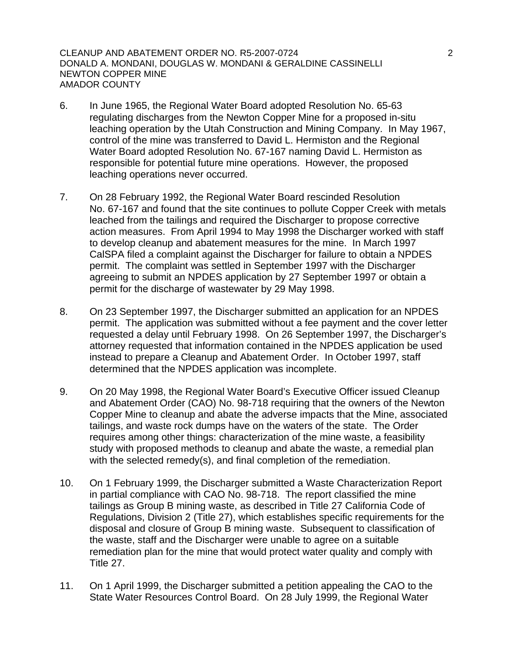CLEANUP AND ABATEMENT ORDER NO. R5-2007-0724 2 DONALD A. MONDANI, DOUGLAS W. MONDANI & GERALDINE CASSINELLI NEWTON COPPER MINE AMADOR COUNTY

- 6. In June 1965, the Regional Water Board adopted Resolution No. 65-63 regulating discharges from the Newton Copper Mine for a proposed in-situ leaching operation by the Utah Construction and Mining Company. In May 1967, control of the mine was transferred to David L. Hermiston and the Regional Water Board adopted Resolution No. 67-167 naming David L. Hermiston as responsible for potential future mine operations. However, the proposed leaching operations never occurred.
- 7. On 28 February 1992, the Regional Water Board rescinded Resolution No. 67-167 and found that the site continues to pollute Copper Creek with metals leached from the tailings and required the Discharger to propose corrective action measures. From April 1994 to May 1998 the Discharger worked with staff to develop cleanup and abatement measures for the mine. In March 1997 CalSPA filed a complaint against the Discharger for failure to obtain a NPDES permit. The complaint was settled in September 1997 with the Discharger agreeing to submit an NPDES application by 27 September 1997 or obtain a permit for the discharge of wastewater by 29 May 1998.
- 8. On 23 September 1997, the Discharger submitted an application for an NPDES permit. The application was submitted without a fee payment and the cover letter requested a delay until February 1998. On 26 September 1997, the Discharger's attorney requested that information contained in the NPDES application be used instead to prepare a Cleanup and Abatement Order. In October 1997, staff determined that the NPDES application was incomplete.
- 9. On 20 May 1998, the Regional Water Board's Executive Officer issued Cleanup and Abatement Order (CAO) No. 98-718 requiring that the owners of the Newton Copper Mine to cleanup and abate the adverse impacts that the Mine, associated tailings, and waste rock dumps have on the waters of the state. The Order requires among other things: characterization of the mine waste, a feasibility study with proposed methods to cleanup and abate the waste, a remedial plan with the selected remedy(s), and final completion of the remediation.
- 10. On 1 February 1999, the Discharger submitted a Waste Characterization Report in partial compliance with CAO No. 98-718. The report classified the mine tailings as Group B mining waste, as described in Title 27 California Code of Regulations, Division 2 (Title 27), which establishes specific requirements for the disposal and closure of Group B mining waste. Subsequent to classification of the waste, staff and the Discharger were unable to agree on a suitable remediation plan for the mine that would protect water quality and comply with Title 27.
- 11. On 1 April 1999, the Discharger submitted a petition appealing the CAO to the State Water Resources Control Board. On 28 July 1999, the Regional Water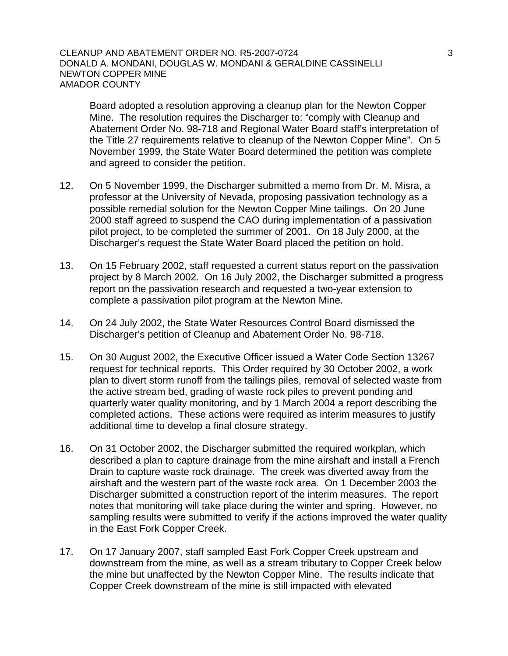## CLEANUP AND ABATEMENT ORDER NO. R5-2007-0724 3 DONALD A. MONDANI, DOUGLAS W. MONDANI & GERALDINE CASSINELLI NEWTON COPPER MINE AMADOR COUNTY

Board adopted a resolution approving a cleanup plan for the Newton Copper Mine. The resolution requires the Discharger to: "comply with Cleanup and Abatement Order No. 98-718 and Regional Water Board staff's interpretation of the Title 27 requirements relative to cleanup of the Newton Copper Mine". On 5 November 1999, the State Water Board determined the petition was complete and agreed to consider the petition.

- 12. On 5 November 1999, the Discharger submitted a memo from Dr. M. Misra, a professor at the University of Nevada, proposing passivation technology as a possible remedial solution for the Newton Copper Mine tailings. On 20 June 2000 staff agreed to suspend the CAO during implementation of a passivation pilot project, to be completed the summer of 2001. On 18 July 2000, at the Discharger's request the State Water Board placed the petition on hold.
- 13. On 15 February 2002, staff requested a current status report on the passivation project by 8 March 2002. On 16 July 2002, the Discharger submitted a progress report on the passivation research and requested a two-year extension to complete a passivation pilot program at the Newton Mine.
- 14. On 24 July 2002, the State Water Resources Control Board dismissed the Discharger's petition of Cleanup and Abatement Order No. 98-718.
- 15. On 30 August 2002, the Executive Officer issued a Water Code Section 13267 request for technical reports. This Order required by 30 October 2002, a work plan to divert storm runoff from the tailings piles, removal of selected waste from the active stream bed, grading of waste rock piles to prevent ponding and quarterly water quality monitoring, and by 1 March 2004 a report describing the completed actions. These actions were required as interim measures to justify additional time to develop a final closure strategy.
- 16. On 31 October 2002, the Discharger submitted the required workplan, which described a plan to capture drainage from the mine airshaft and install a French Drain to capture waste rock drainage. The creek was diverted away from the airshaft and the western part of the waste rock area. On 1 December 2003 the Discharger submitted a construction report of the interim measures. The report notes that monitoring will take place during the winter and spring. However, no sampling results were submitted to verify if the actions improved the water quality in the East Fork Copper Creek.
- 17. On 17 January 2007, staff sampled East Fork Copper Creek upstream and downstream from the mine, as well as a stream tributary to Copper Creek below the mine but unaffected by the Newton Copper Mine. The results indicate that Copper Creek downstream of the mine is still impacted with elevated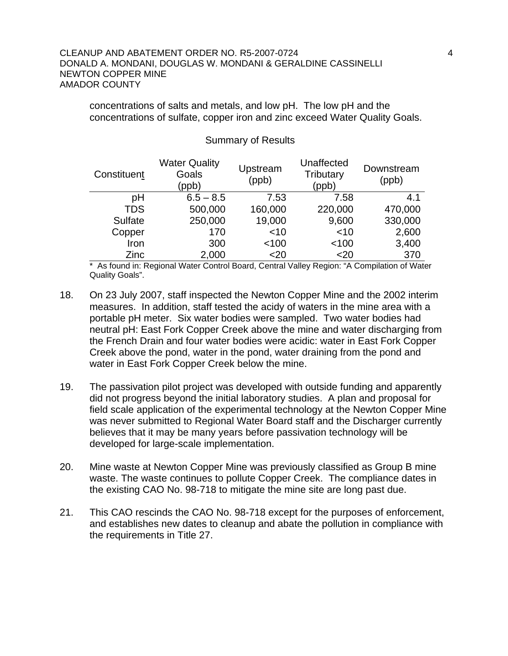## CLEANUP AND ABATEMENT ORDER NO. R5-2007-0724 4 DONALD A. MONDANI, DOUGLAS W. MONDANI & GERALDINE CASSINELLI NEWTON COPPER MINE AMADOR COUNTY

concentrations of salts and metals, and low pH. The low pH and the concentrations of sulfate, copper iron and zinc exceed Water Quality Goals.

| Constituent | <b>Water Quality</b><br>Goals<br>(ppb) | Upstream<br>(ppb) | Unaffected<br>Tributary<br>(ppb) | Downstream<br>(ppb) |
|-------------|----------------------------------------|-------------------|----------------------------------|---------------------|
| рH          | $6.5 - 8.5$                            | 7.53              | 7.58                             | 4.1                 |
| <b>TDS</b>  | 500,000                                | 160,000           | 220,000                          | 470,000             |
| Sulfate     | 250,000                                | 19,000            | 9,600                            | 330,000             |
| Copper      | 170                                    | $<$ 10            | $<$ 10                           | 2,600               |
| Iron        | 300                                    | < 100             | < 100                            | 3,400               |
| Zinc        | 2,000                                  | $<$ 20            | <20                              | 370                 |

#### Summary of Results

\* As found in: Regional Water Control Board, Central Valley Region: "A Compilation of Water Quality Goals".

- 18. On 23 July 2007, staff inspected the Newton Copper Mine and the 2002 interim measures. In addition, staff tested the acidy of waters in the mine area with a portable pH meter. Six water bodies were sampled. Two water bodies had neutral pH: East Fork Copper Creek above the mine and water discharging from the French Drain and four water bodies were acidic: water in East Fork Copper Creek above the pond, water in the pond, water draining from the pond and water in East Fork Copper Creek below the mine.
- 19. The passivation pilot project was developed with outside funding and apparently did not progress beyond the initial laboratory studies. A plan and proposal for field scale application of the experimental technology at the Newton Copper Mine was never submitted to Regional Water Board staff and the Discharger currently believes that it may be many years before passivation technology will be developed for large-scale implementation.
- 20. Mine waste at Newton Copper Mine was previously classified as Group B mine waste. The waste continues to pollute Copper Creek. The compliance dates in the existing CAO No. 98-718 to mitigate the mine site are long past due.
- 21. This CAO rescinds the CAO No. 98-718 except for the purposes of enforcement, and establishes new dates to cleanup and abate the pollution in compliance with the requirements in Title 27.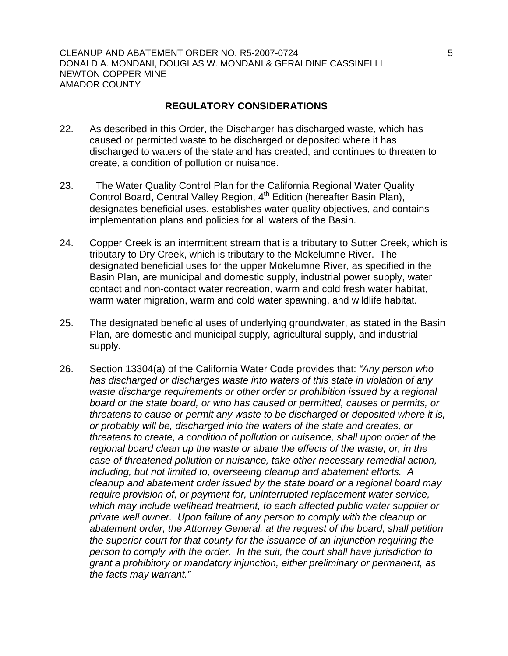CLEANUP AND ABATEMENT ORDER NO. R5-2007-0724 5 DONALD A. MONDANI, DOUGLAS W. MONDANI & GERALDINE CASSINELLI NEWTON COPPER MINE AMADOR COUNTY

## **REGULATORY CONSIDERATIONS**

- 22. As described in this Order, the Discharger has discharged waste, which has caused or permitted waste to be discharged or deposited where it has discharged to waters of the state and has created, and continues to threaten to create, a condition of pollution or nuisance.
- 23. The Water Quality Control Plan for the California Regional Water Quality Control Board, Central Valley Region, 4<sup>th</sup> Edition (hereafter Basin Plan), designates beneficial uses, establishes water quality objectives, and contains implementation plans and policies for all waters of the Basin.
- 24. Copper Creek is an intermittent stream that is a tributary to Sutter Creek, which is tributary to Dry Creek, which is tributary to the Mokelumne River. The designated beneficial uses for the upper Mokelumne River, as specified in the Basin Plan, are municipal and domestic supply, industrial power supply, water contact and non-contact water recreation, warm and cold fresh water habitat, warm water migration, warm and cold water spawning, and wildlife habitat.
- 25. The designated beneficial uses of underlying groundwater, as stated in the Basin Plan, are domestic and municipal supply, agricultural supply, and industrial supply.
- 26. Section 13304(a) of the California Water Code provides that: *"Any person who has discharged or discharges waste into waters of this state in violation of any waste discharge requirements or other order or prohibition issued by a regional board or the state board, or who has caused or permitted, causes or permits, or threatens to cause or permit any waste to be discharged or deposited where it is, or probably will be, discharged into the waters of the state and creates, or threatens to create, a condition of pollution or nuisance, shall upon order of the regional board clean up the waste or abate the effects of the waste, or, in the case of threatened pollution or nuisance, take other necessary remedial action, including, but not limited to, overseeing cleanup and abatement efforts. A cleanup and abatement order issued by the state board or a regional board may require provision of, or payment for, uninterrupted replacement water service, which may include wellhead treatment, to each affected public water supplier or private well owner. Upon failure of any person to comply with the cleanup or abatement order, the Attorney General, at the request of the board, shall petition the superior court for that county for the issuance of an injunction requiring the person to comply with the order. In the suit, the court shall have jurisdiction to grant a prohibitory or mandatory injunction, either preliminary or permanent, as the facts may warrant."*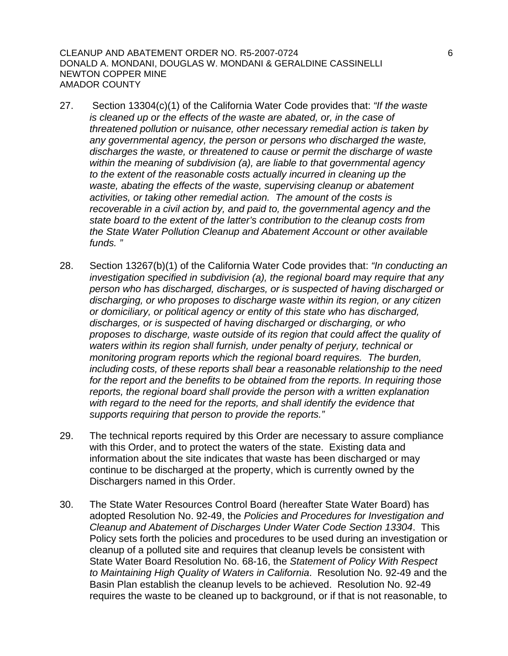CLEANUP AND ABATEMENT ORDER NO. R5-2007-0724 6 DONALD A. MONDANI, DOUGLAS W. MONDANI & GERALDINE CASSINELLI NEWTON COPPER MINE AMADOR COUNTY

- 27. Section 13304(c)(1) of the California Water Code provides that: *"If the waste is cleaned up or the effects of the waste are abated, or, in the case of threatened pollution or nuisance, other necessary remedial action is taken by any governmental agency, the person or persons who discharged the waste, discharges the waste, or threatened to cause or permit the discharge of waste within the meaning of subdivision (a), are liable to that governmental agency to the extent of the reasonable costs actually incurred in cleaning up the waste, abating the effects of the waste, supervising cleanup or abatement activities, or taking other remedial action. The amount of the costs is recoverable in a civil action by, and paid to, the governmental agency and the state board to the extent of the latter's contribution to the cleanup costs from the State Water Pollution Cleanup and Abatement Account or other available funds. "*
- 28. Section 13267(b)(1) of the California Water Code provides that: *"In conducting an investigation specified in subdivision (a), the regional board may require that any person who has discharged, discharges, or is suspected of having discharged or discharging, or who proposes to discharge waste within its region, or any citizen or domiciliary, or political agency or entity of this state who has discharged, discharges, or is suspected of having discharged or discharging, or who proposes to discharge, waste outside of its region that could affect the quality of waters within its region shall furnish, under penalty of perjury, technical or monitoring program reports which the regional board requires. The burden, including costs, of these reports shall bear a reasonable relationship to the need for the report and the benefits to be obtained from the reports. In requiring those reports, the regional board shall provide the person with a written explanation*  with regard to the need for the reports, and shall identify the evidence that *supports requiring that person to provide the reports."*
- 29. The technical reports required by this Order are necessary to assure compliance with this Order, and to protect the waters of the state. Existing data and information about the site indicates that waste has been discharged or may continue to be discharged at the property, which is currently owned by the Dischargers named in this Order.
- 30. The State Water Resources Control Board (hereafter State Water Board) has adopted Resolution No. 92-49, the *Policies and Procedures for Investigation and Cleanup and Abatement of Discharges Under Water Code Section 13304*. This Policy sets forth the policies and procedures to be used during an investigation or cleanup of a polluted site and requires that cleanup levels be consistent with State Water Board Resolution No. 68-16, the *Statement of Policy With Respect to Maintaining High Quality of Waters in California*. Resolution No. 92-49 and the Basin Plan establish the cleanup levels to be achieved. Resolution No. 92-49 requires the waste to be cleaned up to background, or if that is not reasonable, to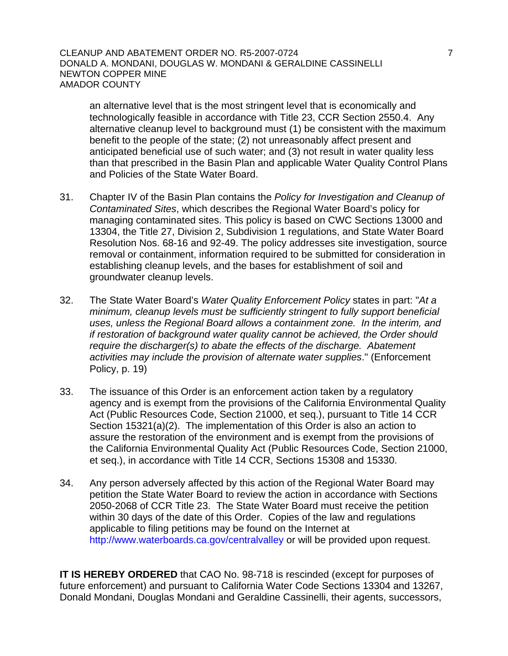## CLEANUP AND ABATEMENT ORDER NO. R5-2007-0724 7 DONALD A. MONDANI, DOUGLAS W. MONDANI & GERALDINE CASSINELLI NEWTON COPPER MINE AMADOR COUNTY

an alternative level that is the most stringent level that is economically and technologically feasible in accordance with Title 23, CCR Section 2550.4. Any alternative cleanup level to background must (1) be consistent with the maximum benefit to the people of the state; (2) not unreasonably affect present and anticipated beneficial use of such water; and (3) not result in water quality less than that prescribed in the Basin Plan and applicable Water Quality Control Plans and Policies of the State Water Board.

- 31. Chapter IV of the Basin Plan contains the *Policy for Investigation and Cleanup of Contaminated Sites*, which describes the Regional Water Board's policy for managing contaminated sites. This policy is based on CWC Sections 13000 and 13304, the Title 27, Division 2, Subdivision 1 regulations, and State Water Board Resolution Nos. 68-16 and 92-49. The policy addresses site investigation, source removal or containment, information required to be submitted for consideration in establishing cleanup levels, and the bases for establishment of soil and groundwater cleanup levels.
- 32. The State Water Board's *Water Quality Enforcement Policy* states in part: "*At a minimum, cleanup levels must be sufficiently stringent to fully support beneficial uses, unless the Regional Board allows a containment zone. In the interim, and if restoration of background water quality cannot be achieved, the Order should require the discharger(s) to abate the effects of the discharge. Abatement activities may include the provision of alternate water supplies*." (Enforcement Policy, p. 19)
- 33. The issuance of this Order is an enforcement action taken by a regulatory agency and is exempt from the provisions of the California Environmental Quality Act (Public Resources Code, Section 21000, et seq.), pursuant to Title 14 CCR Section 15321(a)(2). The implementation of this Order is also an action to assure the restoration of the environment and is exempt from the provisions of the California Environmental Quality Act (Public Resources Code, Section 21000, et seq.), in accordance with Title 14 CCR, Sections 15308 and 15330.
- 34. Any person adversely affected by this action of the Regional Water Board may petition the State Water Board to review the action in accordance with Sections 2050-2068 of CCR Title 23. The State Water Board must receive the petition within 30 days of the date of this Order. Copies of the law [an](http://www.waterboards.ca.gov/centralvalley)d regulations applicable to filing petitions may be found on the Internet at <http://www.waterboards.ca.gov/centralvalley> or will be provided upon request.

**IT IS HEREBY ORDERED** that CAO No. 98-718 is rescinded (except for purposes of future enforcement) and pursuant to California Water Code Sections 13304 and 13267, Donald Mondani, Douglas Mondani and Geraldine Cassinelli, their agents, successors,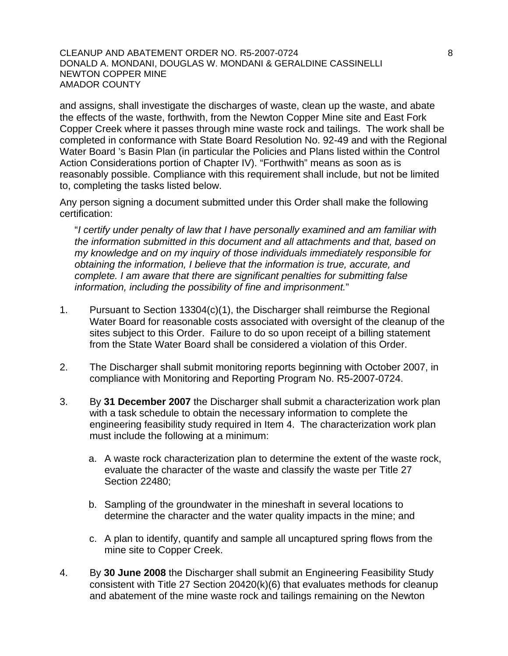CLEANUP AND ABATEMENT ORDER NO. R5-2007-0724 8 DONALD A. MONDANI, DOUGLAS W. MONDANI & GERALDINE CASSINELLI NEWTON COPPER MINE AMADOR COUNTY

and assigns, shall investigate the discharges of waste, clean up the waste, and abate the effects of the waste, forthwith, from the Newton Copper Mine site and East Fork Copper Creek where it passes through mine waste rock and tailings. The work shall be completed in conformance with State Board Resolution No. 92-49 and with the Regional Water Board 's Basin Plan (in particular the Policies and Plans listed within the Control Action Considerations portion of Chapter IV). "Forthwith" means as soon as is reasonably possible. Compliance with this requirement shall include, but not be limited to, completing the tasks listed below.

Any person signing a document submitted under this Order shall make the following certification:

"*I certify under penalty of law that I have personally examined and am familiar with the information submitted in this document and all attachments and that, based on my knowledge and on my inquiry of those individuals immediately responsible for obtaining the information, I believe that the information is true, accurate, and complete. I am aware that there are significant penalties for submitting false information, including the possibility of fine and imprisonment.*"

- 1. Pursuant to Section 13304(c)(1), the Discharger shall reimburse the Regional Water Board for reasonable costs associated with oversight of the cleanup of the sites subject to this Order. Failure to do so upon receipt of a billing statement from the State Water Board shall be considered a violation of this Order.
- 2. The Discharger shall submit monitoring reports beginning with October 2007, in compliance with Monitoring and Reporting Program No. R5-2007-0724.
- 3. By **31 December 2007** the Discharger shall submit a characterization work plan with a task schedule to obtain the necessary information to complete the engineering feasibility study required in Item 4. The characterization work plan must include the following at a minimum:
	- a. A waste rock characterization plan to determine the extent of the waste rock, evaluate the character of the waste and classify the waste per Title 27 Section 22480;
	- b. Sampling of the groundwater in the mineshaft in several locations to determine the character and the water quality impacts in the mine; and
	- c. A plan to identify, quantify and sample all uncaptured spring flows from the mine site to Copper Creek.
- 4. By **30 June 2008** the Discharger shall submit an Engineering Feasibility Study consistent with Title 27 Section 20420(k)(6) that evaluates methods for cleanup and abatement of the mine waste rock and tailings remaining on the Newton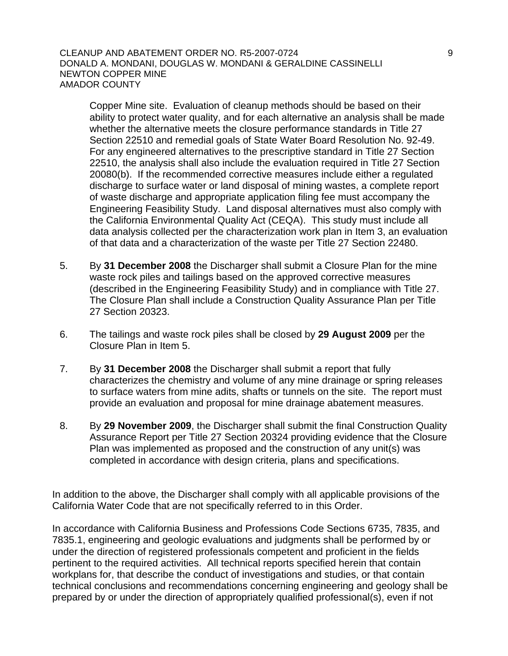CLEANUP AND ABATEMENT ORDER NO. R5-2007-0724 9 DONALD A. MONDANI, DOUGLAS W. MONDANI & GERALDINE CASSINELLI NEWTON COPPER MINE AMADOR COUNTY

Copper Mine site. Evaluation of cleanup methods should be based on their ability to protect water quality, and for each alternative an analysis shall be made whether the alternative meets the closure performance standards in Title 27 Section 22510 and remedial goals of State Water Board Resolution No. 92-49. For any engineered alternatives to the prescriptive standard in Title 27 Section 22510, the analysis shall also include the evaluation required in Title 27 Section 20080(b). If the recommended corrective measures include either a regulated discharge to surface water or land disposal of mining wastes, a complete report of waste discharge and appropriate application filing fee must accompany the Engineering Feasibility Study. Land disposal alternatives must also comply with the California Environmental Quality Act (CEQA). This study must include all data analysis collected per the characterization work plan in Item 3, an evaluation of that data and a characterization of the waste per Title 27 Section 22480.

- 5. By **31 December 2008** the Discharger shall submit a Closure Plan for the mine waste rock piles and tailings based on the approved corrective measures (described in the Engineering Feasibility Study) and in compliance with Title 27. The Closure Plan shall include a Construction Quality Assurance Plan per Title 27 Section 20323.
- 6. The tailings and waste rock piles shall be closed by **29 August 2009** per the Closure Plan in Item 5.
- 7. By **31 December 2008** the Discharger shall submit a report that fully characterizes the chemistry and volume of any mine drainage or spring releases to surface waters from mine adits, shafts or tunnels on the site. The report must provide an evaluation and proposal for mine drainage abatement measures.
- 8. By **29 November 2009**, the Discharger shall submit the final Construction Quality Assurance Report per Title 27 Section 20324 providing evidence that the Closure Plan was implemented as proposed and the construction of any unit(s) was completed in accordance with design criteria, plans and specifications.

In addition to the above, the Discharger shall comply with all applicable provisions of the California Water Code that are not specifically referred to in this Order.

In accordance with California Business and Professions Code Sections 6735, 7835, and 7835.1, engineering and geologic evaluations and judgments shall be performed by or under the direction of registered professionals competent and proficient in the fields pertinent to the required activities. All technical reports specified herein that contain workplans for, that describe the conduct of investigations and studies, or that contain technical conclusions and recommendations concerning engineering and geology shall be prepared by or under the direction of appropriately qualified professional(s), even if not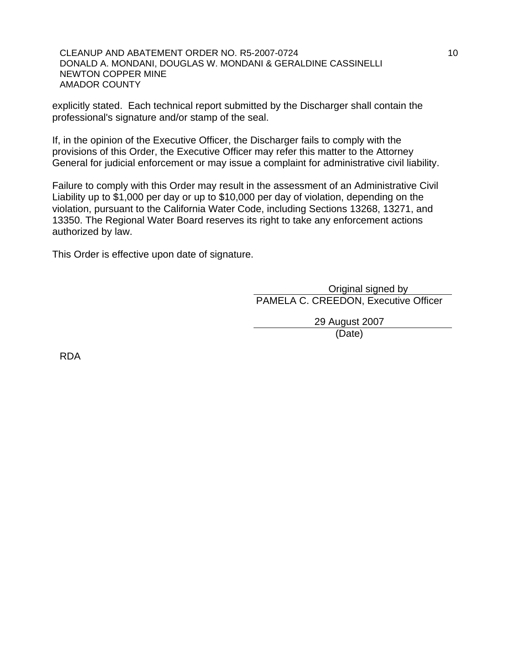CLEANUP AND ABATEMENT ORDER NO. R5-2007-0724 10 DONALD A. MONDANI, DOUGLAS W. MONDANI & GERALDINE CASSINELLI NEWTON COPPER MINE AMADOR COUNTY

explicitly stated. Each technical report submitted by the Discharger shall contain the professional's signature and/or stamp of the seal.

If, in the opinion of the Executive Officer, the Discharger fails to comply with the provisions of this Order, the Executive Officer may refer this matter to the Attorney General for judicial enforcement or may issue a complaint for administrative civil liability.

Failure to comply with this Order may result in the assessment of an Administrative Civil Liability up to \$1,000 per day or up to \$10,000 per day of violation, depending on the violation, pursuant to the California Water Code, including Sections 13268, 13271, and 13350. The Regional Water Board reserves its right to take any enforcement actions authorized by law.

This Order is effective upon date of signature.

 Original signed by PAMELA C. CREEDON, Executive Officer

29 August 2007

(Date)

RDA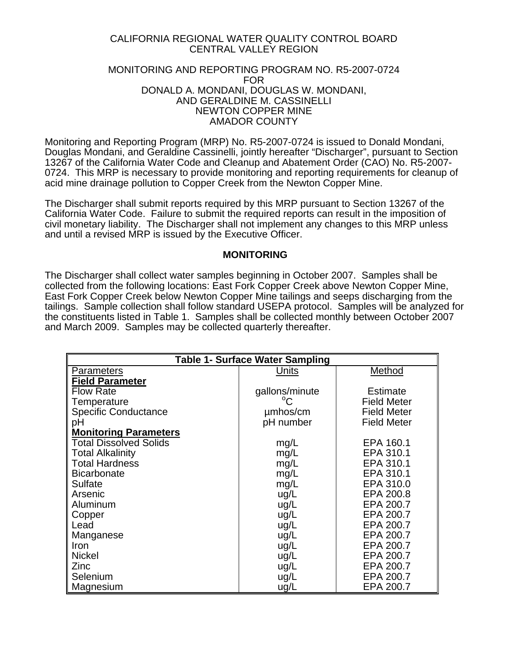# CALIFORNIA REGIONAL WATER QUALITY CONTROL BOARD CENTRAL VALLEY REGION

## MONITORING AND REPORTING PROGRAM NO. R5-2007-0724 FOR DONALD A. MONDANI, DOUGLAS W. MONDANI, AND GERALDINE M. CASSINELLI NEWTON COPPER MINE AMADOR COUNTY

Monitoring and Reporting Program (MRP) No. R5-2007-0724 is issued to Donald Mondani, Douglas Mondani, and Geraldine Cassinelli, jointly hereafter "Discharger", pursuant to Section 13267 of the California Water Code and Cleanup and Abatement Order (CAO) No. R5-2007- 0724. This MRP is necessary to provide monitoring and reporting requirements for cleanup of acid mine drainage pollution to Copper Creek from the Newton Copper Mine.

The Discharger shall submit reports required by this MRP pursuant to Section 13267 of the California Water Code. Failure to submit the required reports can result in the imposition of civil monetary liability. The Discharger shall not implement any changes to this MRP unless and until a revised MRP is issued by the Executive Officer.

## **MONITORING**

The Discharger shall collect water samples beginning in October 2007. Samples shall be collected from the following locations: East Fork Copper Creek above Newton Copper Mine, East Fork Copper Creek below Newton Copper Mine tailings and seeps discharging from the tailings. Sample collection shall follow standard USEPA protocol. Samples will be analyzed for the constituents listed in Table 1. Samples shall be collected monthly between October 2007 and March 2009. Samples may be collected quarterly thereafter.

| <b>Table 1- Surface Water Sampling</b> |                |                    |  |  |
|----------------------------------------|----------------|--------------------|--|--|
| <b>Parameters</b>                      | Units          | Method             |  |  |
| <b>Field Parameter</b>                 |                |                    |  |  |
| <b>Flow Rate</b>                       | gallons/minute | Estimate           |  |  |
| Temperature                            | $^{\circ}C$    | <b>Field Meter</b> |  |  |
| <b>Specific Conductance</b>            | umhos/cm       | <b>Field Meter</b> |  |  |
| рH                                     | pH number      | <b>Field Meter</b> |  |  |
| <b>Monitoring Parameters</b>           |                |                    |  |  |
| <b>Total Dissolved Solids</b>          | mg/L           | EPA 160.1          |  |  |
| <b>Total Alkalinity</b>                | mg/L           | EPA 310.1          |  |  |
| <b>Total Hardness</b>                  | mg/L           | EPA 310.1          |  |  |
| <b>Bicarbonate</b>                     | mg/L           | EPA 310.1          |  |  |
| <b>Sulfate</b>                         | mg/L           | EPA 310.0          |  |  |
| Arsenic                                | ug/L           | EPA 200.8          |  |  |
| Aluminum                               | ug/L           | EPA 200.7          |  |  |
| Copper                                 | ug/L           | EPA 200.7          |  |  |
| Lead                                   | ug/L           | EPA 200.7          |  |  |
| Manganese                              | ug/L           | EPA 200.7          |  |  |
| Iron                                   | ug/L           | EPA 200.7          |  |  |
| <b>Nickel</b>                          | ug/L           | EPA 200.7          |  |  |
| Zinc                                   | ug/L           | EPA 200.7          |  |  |
| Selenium                               | ug/L           | EPA 200.7          |  |  |
| Magnesium                              | ug/L           | EPA 200.7          |  |  |